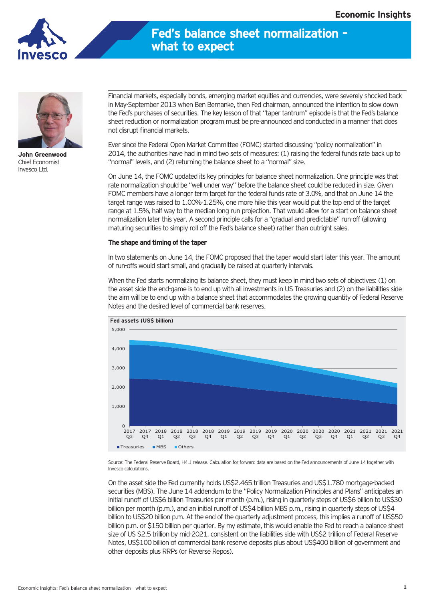

## **Fed's balance sheet normalization – what to expect**



**John Greenwood** Chief Economist Invesco Ltd.

Financial markets, especially bonds, emerging market equities and currencies, were severely shocked back in May-September 2013 when Ben Bernanke, then Fed chairman, announced the intention to slow down the Fed's purchases of securities. The key lesson of that "taper tantrum" episode is that the Fed's balance sheet reduction or normalization program must be pre-announced and conducted in a manner that does not disrupt financial markets.

Ever since the Federal Open Market Committee (FOMC) started discussing "policy normalization" in 2014, the authorities have had in mind two sets of measures: (1) raising the federal funds rate back up to "normal" levels, and (2) returning the balance sheet to a "normal" size.

On June 14, the FOMC updated its key principles for balance sheet normalization. One principle was that rate normalization should be "well under way" before the balance sheet could be reduced in size. Given FOMC members have a longer term target for the federal funds rate of 3.0%, and that on June 14 the target range was raised to 1.00%-1.25%, one more hike this year would put the top end of the target range at 1.5%, half way to the median long run projection. That would allow for a start on balance sheet normalization later this year. A second principle calls for a "gradual and predictable" run-off (allowing maturing securities to simply roll off the Fed's balance sheet) rather than outright sales.

## **The shape and timing of the taper**

In two statements on June 14, the FOMC proposed that the taper would start later this year. The amount of run-offs would start small, and gradually be raised at quarterly intervals.

When the Fed starts normalizing its balance sheet, they must keep in mind two sets of objectives: (1) on the asset side the end-game is to end up with all investments in US Treasuries and (2) on the liabilities side the aim will be to end up with a balance sheet that accommodates the growing quantity of Federal Reserve Notes and the desired level of commercial bank reserves.



Source: The Federal Reserve Board, H4.1 release. Calculation for forward data are based on the Fed announcements of June 14 together with Invesco calculations.

On the asset side the Fed currently holds US\$2.465 trillion Treasuries and US\$1.780 mortgage-backed securities (MBS). The June 14 addendum to the "Policy Normalization Principles and Plans" anticipates an initial runoff of US\$6 billion Treasuries per month (p.m.), rising in quarterly steps of US\$6 billion to US\$30 billion per month (p.m.), and an initial runoff of US\$4 billion MBS p.m., rising in quarterly steps of US\$4 billion to US\$20 billion p.m. At the end of the quarterly adjustment process, this implies a runoff of US\$50 billion p.m. or \$150 billion per quarter. By my estimate, this would enable the Fed to reach a balance sheet size of US \$2.5 trillion by mid-2021, consistent on the liabilities side with US\$2 trillion of Federal Reserve Notes, US\$100 billion of commercial bank reserve deposits plus about US\$400 billion of government and other deposits plus RRPs (or Reverse Repos).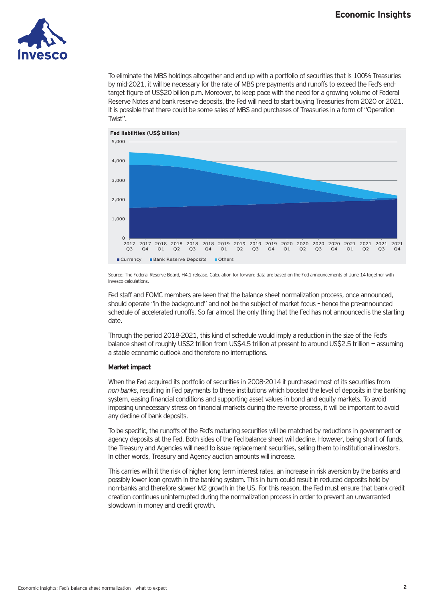

To eliminate the MBS holdings altogether and end up with a portfolio of securities that is 100% Treasuries by mid-2021, it will be necessary for the rate of MBS pre-payments and runoffs to exceed the Fed's endtarget figure of US\$20 billion p.m. Moreover, to keep pace with the need for a growing volume of Federal Reserve Notes and bank reserve deposits, the Fed will need to start buying Treasuries from 2020 or 2021. It is possible that there could be some sales of MBS and purchases of Treasuries in a form of "Operation Twist".



Source: The Federal Reserve Board, H4.1 release. Calculation for forward data are based on the Fed announcements of June 14 together with Invesco calculations.

Fed staff and FOMC members are keen that the balance sheet normalization process, once announced, should operate "in the background" and not be the subject of market focus – hence the pre-announced schedule of accelerated runoffs. So far almost the only thing that the Fed has not announced is the starting date.

Through the period 2018-2021, this kind of schedule would imply a reduction in the size of the Fed's balance sheet of roughly US\$2 trillion from US\$4.5 trillion at present to around US\$2.5 trillion — assuming a stable economic outlook and therefore no interruptions.

## **Market impact**

When the Fed acquired its portfolio of securities in 2008-2014 it purchased most of its securities from *non-banks*, resulting in Fed payments to these institutions which boosted the level of deposits in the banking system, easing financial conditions and supporting asset values in bond and equity markets. To avoid imposing unnecessary stress on financial markets during the reverse process, it will be important to avoid any decline of bank deposits.

To be specific, the runoffs of the Fed's maturing securities will be matched by reductions in government or agency deposits at the Fed. Both sides of the Fed balance sheet will decline. However, being short of funds, the Treasury and Agencies will need to issue replacement securities, selling them to institutional investors. In other words, Treasury and Agency auction amounts will increase.

This carries with it the risk of higher long term interest rates, an increase in risk aversion by the banks and possibly lower loan growth in the banking system. This in turn could result in reduced deposits held by non-banks and therefore slower M2 growth in the US. For this reason, the Fed must ensure that bank credit creation continues uninterrupted during the normalization process in order to prevent an unwarranted slowdown in money and credit growth.